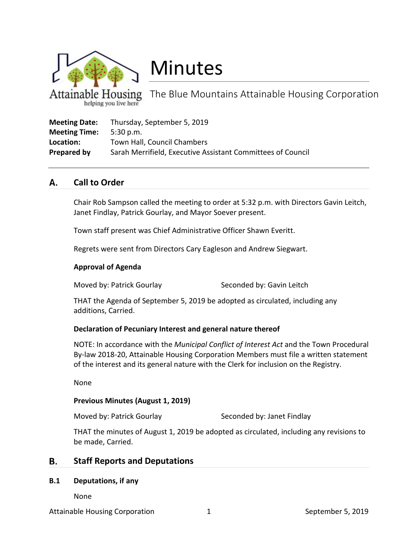

# Minutes

The Blue Mountains Attainable Housing Corporation helping you live here

| <b>Meeting Date:</b> | Thursday, September 5, 2019                                 |
|----------------------|-------------------------------------------------------------|
| <b>Meeting Time:</b> | 5:30 p.m.                                                   |
| Location:            | Town Hall, Council Chambers                                 |
| Prepared by          | Sarah Merrifield, Executive Assistant Committees of Council |

#### А. **Call to Order**

Chair Rob Sampson called the meeting to order at 5:32 p.m. with Directors Gavin Leitch, Janet Findlay, Patrick Gourlay, and Mayor Soever present.

Town staff present was Chief Administrative Officer Shawn Everitt.

Regrets were sent from Directors Cary Eagleson and Andrew Siegwart.

# **Approval of Agenda**

Moved by: Patrick Gourlay Seconded by: Gavin Leitch

THAT the Agenda of September 5, 2019 be adopted as circulated, including any additions, Carried.

# **Declaration of Pecuniary Interest and general nature thereof**

NOTE: In accordance with the *Municipal Conflict of Interest Act* and the Town Procedural By-law 2018-20, Attainable Housing Corporation Members must file a written statement of the interest and its general nature with the Clerk for inclusion on the Registry.

None

# **Previous Minutes (August 1, 2019)**

Moved by: Patrick Gourlay Seconded by: Janet Findlay

THAT the minutes of August 1, 2019 be adopted as circulated, including any revisions to be made, Carried.

#### В. **Staff Reports and Deputations**

# **B.1 Deputations, if any**

None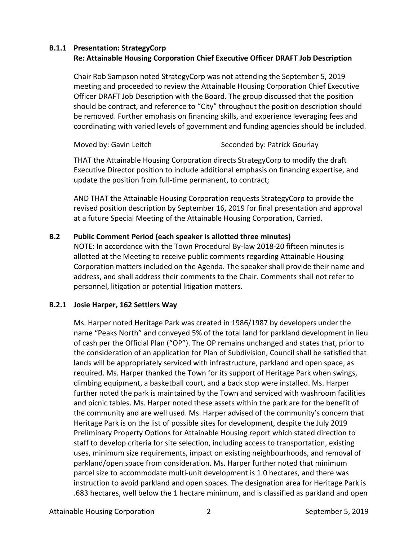### **B.1.1 Presentation: StrategyCorp Re: Attainable Housing Corporation Chief Executive Officer DRAFT Job Description**

Chair Rob Sampson noted StrategyCorp was not attending the September 5, 2019 meeting and proceeded to review the Attainable Housing Corporation Chief Executive Officer DRAFT Job Description with the Board. The group discussed that the position should be contract, and reference to "City" throughout the position description should be removed. Further emphasis on financing skills, and experience leveraging fees and coordinating with varied levels of government and funding agencies should be included.

Moved by: Gavin Leitch Seconded by: Patrick Gourlay

THAT the Attainable Housing Corporation directs StrategyCorp to modify the draft Executive Director position to include additional emphasis on financing expertise, and update the position from full-time permanent, to contract;

AND THAT the Attainable Housing Corporation requests StrategyCorp to provide the revised position description by September 16, 2019 for final presentation and approval at a future Special Meeting of the Attainable Housing Corporation, Carried.

# **B.2 Public Comment Period (each speaker is allotted three minutes)**

NOTE: In accordance with the Town Procedural By-law 2018-20 fifteen minutes is allotted at the Meeting to receive public comments regarding Attainable Housing Corporation matters included on the Agenda. The speaker shall provide their name and address, and shall address their comments to the Chair. Comments shall not refer to personnel, litigation or potential litigation matters.

# **B.2.1 Josie Harper, 162 Settlers Way**

Ms. Harper noted Heritage Park was created in 1986/1987 by developers under the name "Peaks North" and conveyed 5% of the total land for parkland development in lieu of cash per the Official Plan ("OP"). The OP remains unchanged and states that, prior to the consideration of an application for Plan of Subdivision, Council shall be satisfied that lands will be appropriately serviced with infrastructure, parkland and open space, as required. Ms. Harper thanked the Town for its support of Heritage Park when swings, climbing equipment, a basketball court, and a back stop were installed. Ms. Harper further noted the park is maintained by the Town and serviced with washroom facilities and picnic tables. Ms. Harper noted these assets within the park are for the benefit of the community and are well used. Ms. Harper advised of the community's concern that Heritage Park is on the list of possible sites for development, despite the July 2019 Preliminary Property Options for Attainable Housing report which stated direction to staff to develop criteria for site selection, including access to transportation, existing uses, minimum size requirements, impact on existing neighbourhoods, and removal of parkland/open space from consideration. Ms. Harper further noted that minimum parcel size to accommodate multi-unit development is 1.0 hectares, and there was instruction to avoid parkland and open spaces. The designation area for Heritage Park is .683 hectares, well below the 1 hectare minimum, and is classified as parkland and open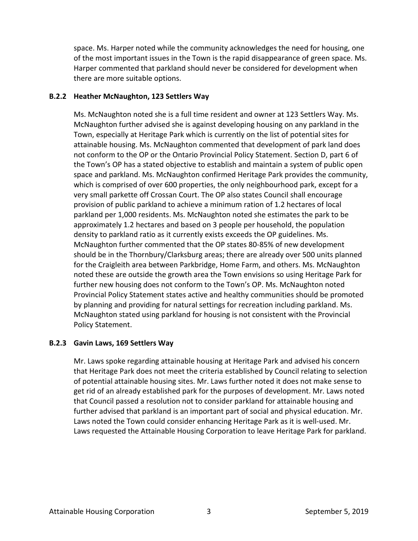space. Ms. Harper noted while the community acknowledges the need for housing, one of the most important issues in the Town is the rapid disappearance of green space. Ms. Harper commented that parkland should never be considered for development when there are more suitable options.

# **B.2.2 Heather McNaughton, 123 Settlers Way**

Ms. McNaughton noted she is a full time resident and owner at 123 Settlers Way. Ms. McNaughton further advised she is against developing housing on any parkland in the Town, especially at Heritage Park which is currently on the list of potential sites for attainable housing. Ms. McNaughton commented that development of park land does not conform to the OP or the Ontario Provincial Policy Statement. Section D, part 6 of the Town's OP has a stated objective to establish and maintain a system of public open space and parkland. Ms. McNaughton confirmed Heritage Park provides the community, which is comprised of over 600 properties, the only neighbourhood park, except for a very small parkette off Crossan Court. The OP also states Council shall encourage provision of public parkland to achieve a minimum ration of 1.2 hectares of local parkland per 1,000 residents. Ms. McNaughton noted she estimates the park to be approximately 1.2 hectares and based on 3 people per household, the population density to parkland ratio as it currently exists exceeds the OP guidelines. Ms. McNaughton further commented that the OP states 80-85% of new development should be in the Thornbury/Clarksburg areas; there are already over 500 units planned for the Craigleith area between Parkbridge, Home Farm, and others. Ms. McNaughton noted these are outside the growth area the Town envisions so using Heritage Park for further new housing does not conform to the Town's OP. Ms. McNaughton noted Provincial Policy Statement states active and healthy communities should be promoted by planning and providing for natural settings for recreation including parkland. Ms. McNaughton stated using parkland for housing is not consistent with the Provincial Policy Statement.

# **B.2.3 Gavin Laws, 169 Settlers Way**

Mr. Laws spoke regarding attainable housing at Heritage Park and advised his concern that Heritage Park does not meet the criteria established by Council relating to selection of potential attainable housing sites. Mr. Laws further noted it does not make sense to get rid of an already established park for the purposes of development. Mr. Laws noted that Council passed a resolution not to consider parkland for attainable housing and further advised that parkland is an important part of social and physical education. Mr. Laws noted the Town could consider enhancing Heritage Park as it is well-used. Mr. Laws requested the Attainable Housing Corporation to leave Heritage Park for parkland.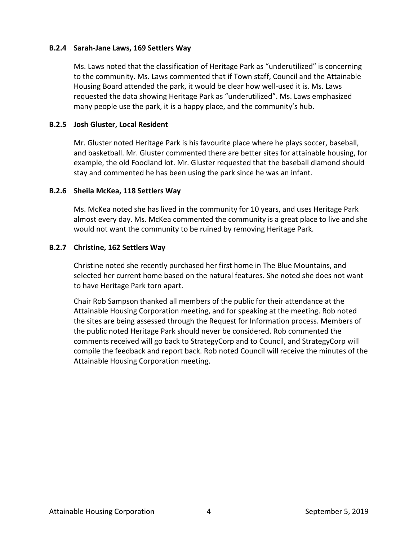### **B.2.4 Sarah-Jane Laws, 169 Settlers Way**

Ms. Laws noted that the classification of Heritage Park as "underutilized" is concerning to the community. Ms. Laws commented that if Town staff, Council and the Attainable Housing Board attended the park, it would be clear how well-used it is. Ms. Laws requested the data showing Heritage Park as "underutilized". Ms. Laws emphasized many people use the park, it is a happy place, and the community's hub.

### **B.2.5 Josh Gluster, Local Resident**

Mr. Gluster noted Heritage Park is his favourite place where he plays soccer, baseball, and basketball. Mr. Gluster commented there are better sites for attainable housing, for example, the old Foodland lot. Mr. Gluster requested that the baseball diamond should stay and commented he has been using the park since he was an infant.

### **B.2.6 Sheila McKea, 118 Settlers Way**

Ms. McKea noted she has lived in the community for 10 years, and uses Heritage Park almost every day. Ms. McKea commented the community is a great place to live and she would not want the community to be ruined by removing Heritage Park.

### **B.2.7 Christine, 162 Settlers Way**

Christine noted she recently purchased her first home in The Blue Mountains, and selected her current home based on the natural features. She noted she does not want to have Heritage Park torn apart.

Chair Rob Sampson thanked all members of the public for their attendance at the Attainable Housing Corporation meeting, and for speaking at the meeting. Rob noted the sites are being assessed through the Request for Information process. Members of the public noted Heritage Park should never be considered. Rob commented the comments received will go back to StrategyCorp and to Council, and StrategyCorp will compile the feedback and report back. Rob noted Council will receive the minutes of the Attainable Housing Corporation meeting.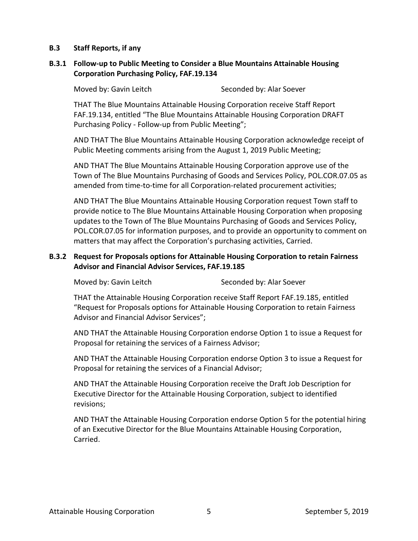# **B.3 Staff Reports, if any**

# **B.3.1 Follow-up to Public Meeting to Consider a Blue Mountains Attainable Housing Corporation Purchasing Policy, FAF.19.134**

Moved by: Gavin Leitch Seconded by: Alar Soever

THAT The Blue Mountains Attainable Housing Corporation receive Staff Report FAF.19.134, entitled "The Blue Mountains Attainable Housing Corporation DRAFT Purchasing Policy - Follow-up from Public Meeting";

AND THAT The Blue Mountains Attainable Housing Corporation acknowledge receipt of Public Meeting comments arising from the August 1, 2019 Public Meeting;

AND THAT The Blue Mountains Attainable Housing Corporation approve use of the Town of The Blue Mountains Purchasing of Goods and Services Policy, POL.COR.07.05 as amended from time-to-time for all Corporation-related procurement activities;

AND THAT The Blue Mountains Attainable Housing Corporation request Town staff to provide notice to The Blue Mountains Attainable Housing Corporation when proposing updates to the Town of The Blue Mountains Purchasing of Goods and Services Policy, POL.COR.07.05 for information purposes, and to provide an opportunity to comment on matters that may affect the Corporation's purchasing activities, Carried.

# **B.3.2 Request for Proposals options for Attainable Housing Corporation to retain Fairness Advisor and Financial Advisor Services, FAF.19.185**

Moved by: Gavin Leitch Seconded by: Alar Soever

THAT the Attainable Housing Corporation receive Staff Report FAF.19.185, entitled "Request for Proposals options for Attainable Housing Corporation to retain Fairness Advisor and Financial Advisor Services";

AND THAT the Attainable Housing Corporation endorse Option 1 to issue a Request for Proposal for retaining the services of a Fairness Advisor;

AND THAT the Attainable Housing Corporation endorse Option 3 to issue a Request for Proposal for retaining the services of a Financial Advisor;

AND THAT the Attainable Housing Corporation receive the Draft Job Description for Executive Director for the Attainable Housing Corporation, subject to identified revisions;

AND THAT the Attainable Housing Corporation endorse Option 5 for the potential hiring of an Executive Director for the Blue Mountains Attainable Housing Corporation, Carried.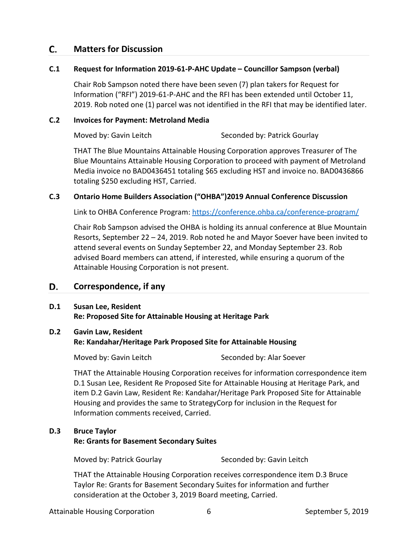#### **Matters for Discussion** C.

### **C.1 Request for Information 2019-61-P-AHC Update – Councillor Sampson (verbal)**

Chair Rob Sampson noted there have been seven (7) plan takers for Request for Information ("RFI") 2019-61-P-AHC and the RFI has been extended until October 11, 2019. Rob noted one (1) parcel was not identified in the RFI that may be identified later.

# **C.2 Invoices for Payment: Metroland Media**

Moved by: Gavin Leitch Seconded by: Patrick Gourlay

THAT The Blue Mountains Attainable Housing Corporation approves Treasurer of The Blue Mountains Attainable Housing Corporation to proceed with payment of Metroland Media invoice no BAD0436451 totaling \$65 excluding HST and invoice no. BAD0436866 totaling \$250 excluding HST, Carried.

# **C.3 Ontario Home Builders Association ("OHBA")2019 Annual Conference Discussion**

Link to OHBA Conference Program:<https://conference.ohba.ca/conference-program/>

Chair Rob Sampson advised the OHBA is holding its annual conference at Blue Mountain Resorts, September 22 – 24, 2019. Rob noted he and Mayor Soever have been invited to attend several events on Sunday September 22, and Monday September 23. Rob advised Board members can attend, if interested, while ensuring a quorum of the Attainable Housing Corporation is not present.

#### D. **Correspondence, if any**

### **D.1 Susan Lee, Resident Re: Proposed Site for Attainable Housing at Heritage Park**

# **D.2 Gavin Law, Resident**

**Re: Kandahar/Heritage Park Proposed Site for Attainable Housing**

Moved by: Gavin Leitch Seconded by: Alar Soever

THAT the Attainable Housing Corporation receives for information correspondence item D.1 Susan Lee, Resident Re Proposed Site for Attainable Housing at Heritage Park, and item D.2 Gavin Law, Resident Re: Kandahar/Heritage Park Proposed Site for Attainable Housing and provides the same to StrategyCorp for inclusion in the Request for Information comments received, Carried.

# **D.3 Bruce Taylor**

**Re: Grants for Basement Secondary Suites**

Moved by: Patrick Gourlay Seconded by: Gavin Leitch

THAT the Attainable Housing Corporation receives correspondence item D.3 Bruce Taylor Re: Grants for Basement Secondary Suites for information and further consideration at the October 3, 2019 Board meeting, Carried.

Attainable Housing Corporation  $\overline{6}$  6 September 5, 2019